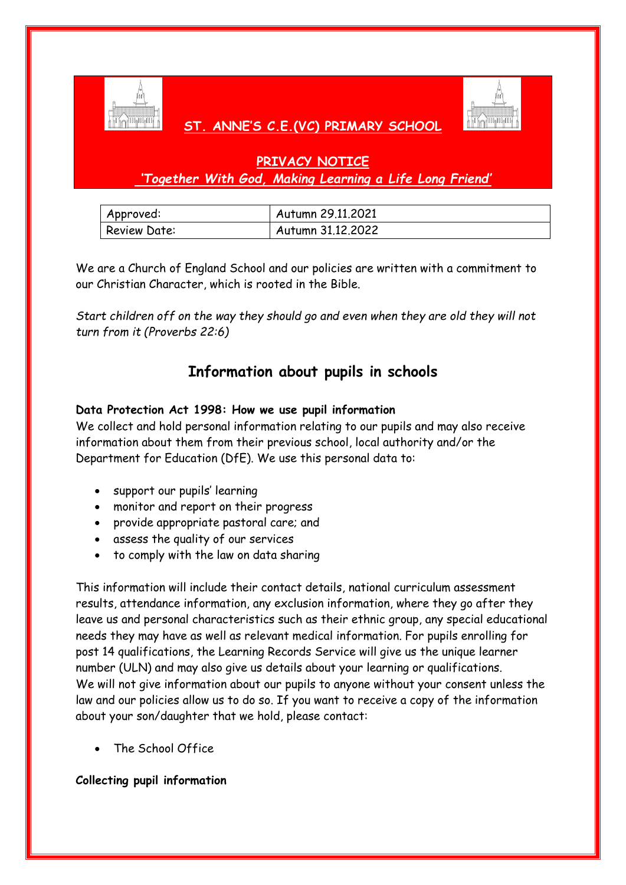

# **ST. ANNE'S C.E.(VC) PRIMARY SCHOOL**



# **PRIVACY NOTICE** *'Together With God, Making Learning a Life Long Friend'*

| Approved:           | Autumn 29.11,2021 |
|---------------------|-------------------|
| <b>Review Date:</b> | Autumn 31.12.2022 |

We are a Church of England School and our policies are written with a commitment to our Christian Character, which is rooted in the Bible.

*Start children off on the way they should go and even when they are old they will not turn from it (Proverbs 22:6)*

# **Information about pupils in schools**

# **Data Protection Act 1998: How we use pupil information**

We collect and hold personal information relating to our pupils and may also receive information about them from their previous school, local authority and/or the Department for Education (DfE). We use this personal data to:

- support our pupils' learning
- monitor and report on their progress
- provide appropriate pastoral care; and
- assess the quality of our services
- to comply with the law on data sharing

This information will include their contact details, national curriculum assessment results, attendance information, any exclusion information, where they go after they leave us and personal characteristics such as their ethnic group, any special educational needs they may have as well as relevant medical information. For pupils enrolling for post 14 qualifications, the Learning Records Service will give us the unique learner number (ULN) and may also give us details about your learning or qualifications. We will not give information about our pupils to anyone without your consent unless the law and our policies allow us to do so. If you want to receive a copy of the information about your son/daughter that we hold, please contact:

The School Office

## **Collecting pupil information**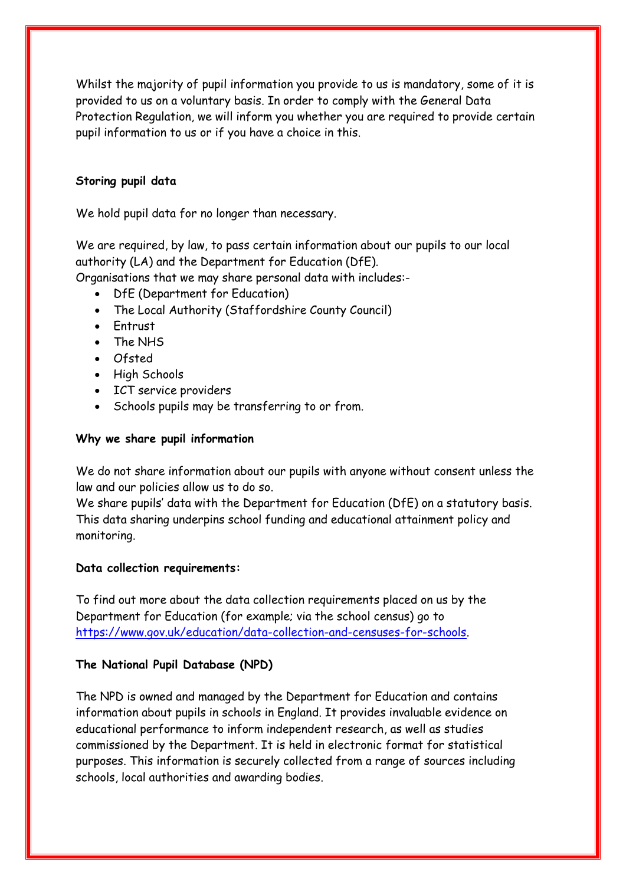Whilst the majority of pupil information you provide to us is mandatory, some of it is provided to us on a voluntary basis. In order to comply with the General Data Protection Regulation, we will inform you whether you are required to provide certain pupil information to us or if you have a choice in this.

#### **Storing pupil data**

We hold pupil data for no longer than necessary.

We are required, by law, to pass certain information about our pupils to our local authority (LA) and the Department for Education (DfE).

Organisations that we may share personal data with includes:-

- DfE (Department for Education)
- The Local Authority (Staffordshire County Council)
- Entrust
- The NHS
- Ofsted
- High Schools
- ICT service providers
- Schools pupils may be transferring to or from.

#### **Why we share pupil information**

We do not share information about our pupils with anyone without consent unless the law and our policies allow us to do so.

We share pupils' data with the Department for Education (DfE) on a statutory basis. This data sharing underpins school funding and educational attainment policy and monitoring.

## **Data collection requirements:**

To find out more about the data collection requirements placed on us by the Department for Education (for example; via the school census) go to [https://www.gov.uk/education/data-collection-and-censuses-for-schools.](https://www.gov.uk/education/data-collection-and-censuses-for-schools)

## **The National Pupil Database (NPD)**

The NPD is owned and managed by the Department for Education and contains information about pupils in schools in England. It provides invaluable evidence on educational performance to inform independent research, as well as studies commissioned by the Department. It is held in electronic format for statistical purposes. This information is securely collected from a range of sources including schools, local authorities and awarding bodies.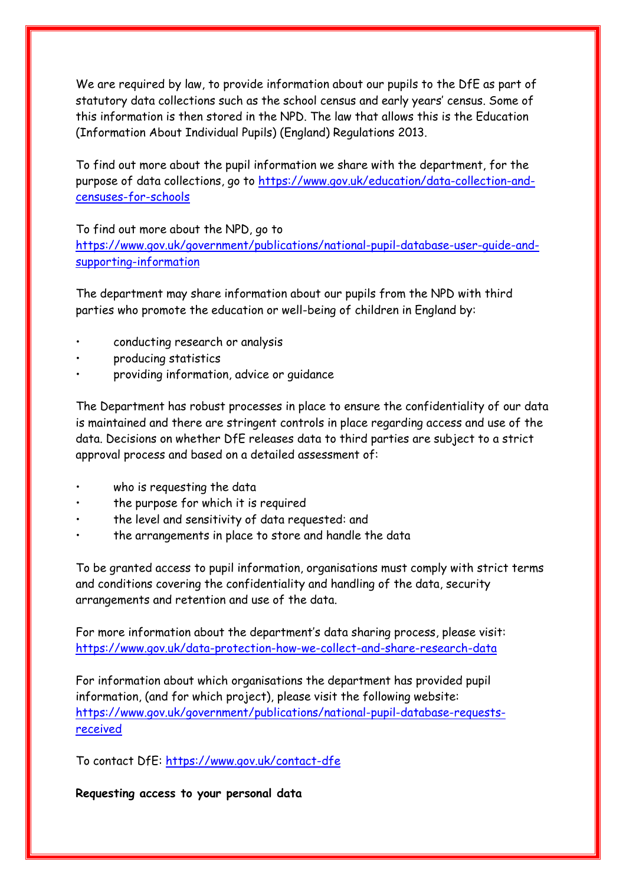We are required by law, to provide information about our pupils to the DfE as part of statutory data collections such as the school census and early years' census. Some of this information is then stored in the NPD. The law that allows this is the Education (Information About Individual Pupils) (England) Regulations 2013.

To find out more about the pupil information we share with the department, for the purpose of data collections, go to [https://www.gov.uk/education/data-collection-and](https://www.gov.uk/education/data-collection-and-censuses-for-schools)[censuses-for-schools](https://www.gov.uk/education/data-collection-and-censuses-for-schools)

To find out more about the NPD, go to

[https://www.gov.uk/government/publications/national-pupil-database-user-guide-and](https://www.gov.uk/government/publications/national-pupil-database-user-guide-and-supporting-information)[supporting-information](https://www.gov.uk/government/publications/national-pupil-database-user-guide-and-supporting-information)

The department may share information about our pupils from the NPD with third parties who promote the education or well-being of children in England by:

- conducting research or analysis
- producing statistics
- providing information, advice or guidance

The Department has robust processes in place to ensure the confidentiality of our data is maintained and there are stringent controls in place regarding access and use of the data. Decisions on whether DfE releases data to third parties are subject to a strict approval process and based on a detailed assessment of:

- who is requesting the data
- the purpose for which it is required
- the level and sensitivity of data requested: and
- the arrangements in place to store and handle the data

To be granted access to pupil information, organisations must comply with strict terms and conditions covering the confidentiality and handling of the data, security arrangements and retention and use of the data.

For more information about the department's data sharing process, please visit: <https://www.gov.uk/data-protection-how-we-collect-and-share-research-data>

For information about which organisations the department has provided pupil information, (and for which project), please visit the following website: [https://www.gov.uk/government/publications/national-pupil-database-requests](https://www.gov.uk/government/publications/national-pupil-database-requests-received)[received](https://www.gov.uk/government/publications/national-pupil-database-requests-received)

To contact DfE:<https://www.gov.uk/contact-dfe>

**Requesting access to your personal data**